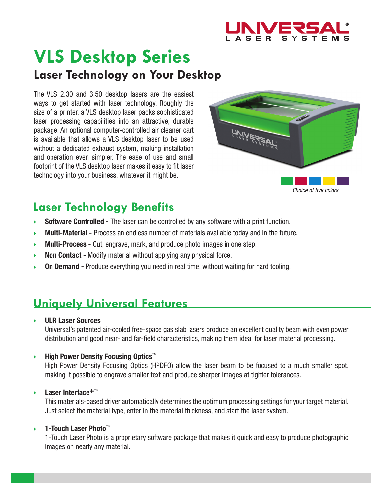

# **VLS Desktop Series Laser Technology on Your Desktop**

The VLS 2.30 and 3.50 desktop lasers are the easiest ways to get started with laser technology. Roughly the size of a printer, a VLS desktop laser packs sophisticated laser processing capabilities into an attractive, durable package. An optional computer-controlled air cleaner cart is available that allows a VLS desktop laser to be used without a dedicated exhaust system, making installation and operation even simpler. The ease of use and small footprint of the VLS desktop laser makes it easy to fit laser technology into your business, whatever it might be.



# **Laser Technology Benefits**

- **Software Controlled** The laser can be controlled by any software with a print function.  $\blacktriangleright$
- **Multi-Material** Process an endless number of materials available today and in the future. b
- **Multi-Process** Cut, engrave, mark, and produce photo images in one step. ь
- **Non Contact** Modify material without applying any physical force. ь
- **On Demand** Produce everything you need in real time, without waiting for hard tooling. b

## **Uniquely Universal Features**

#### **ULR Laser Sources**

Universal's patented air-cooled free-space gas slab lasers produce an excellent quality beam with even power distribution and good near- and far-field characteristics, making them ideal for laser material processing.

### **High Power Density Focusing Optics**™

High Power Density Focusing Optics (HPDFO) allow the laser beam to be focused to a much smaller spot, making it possible to engrave smaller text and produce sharper images at tighter tolerances.

### **Laser Interface+**™

This materials-based driver automatically determines the optimum processing settings for your target material. Just select the material type, enter in the material thickness, and start the laser system.

### **1-Touch Laser Photo**™

1-Touch Laser Photo is a proprietary software package that makes it quick and easy to produce photographic images on nearly any material.